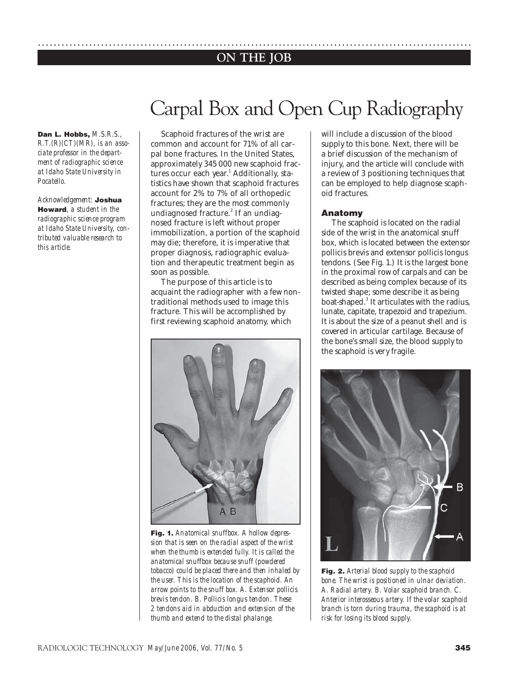# **ON THE JOB** ..............................................................................................................

# Carpal Box and Open Cup Radiography

#### **Dan L. Hobbs,** *M.S.R.S.,*

*R.T.(R)(CT)(MR), is an associate professor in the department of radiographic science at Idaho State University in Pocatello.*

*Acknowledgement:* **Joshua Howard***, a student in the radiographic science program at Idaho State University, contributed valuable research to this article.*

Scaphoid fractures of the wrist are common and account for 71% of all carpal bone fractures. In the United States, approximately 345 000 new scaphoid fractures occur each year.<sup>1</sup> Additionally, statistics have shown that scaphoid fractures account for 2% to 7% of all orthopedic fractures; they are the most commonly undiagnosed fracture.<sup>2</sup> If an undiagnosed fracture is left without proper immobilization, a portion of the scaphoid may die; therefore, it is imperative that proper diagnosis, radiographic evaluation and therapeutic treatment begin as soon as possible.

The purpose of this article is to acquaint the radiographer with a few nontraditional methods used to image this fracture. This will be accomplished by first reviewing scaphoid anatomy, which



**Fig. 1.** *Anatomical snuffbox. A hollow depression that is seen on the radial aspect of the wrist when the thumb is extended fully. It is called the anatomical snuffbox because snuff (powdered tobacco) could be placed there and then inhaled by the user. This is the location of the scaphoid. An arrow points to the snuff box. A. Extensor pollicis brevis tendon. B. Pollicis longus tendon. These 2 tendons aid in abduction and extension of the thumb and extend to the distal phalange.* 

will include a discussion of the blood supply to this bone. Next, there will be a brief discussion of the mechanism of injury, and the article will conclude with a review of 3 positioning techniques that can be employed to help diagnose scaphoid fractures.

#### **Anatomy**

The scaphoid is located on the radial side of the wrist in the anatomical snuff box, which is located between the extensor pollicis brevis and extensor pollicis longus tendons. (See Fig. 1.) It is the largest bone in the proximal row of carpals and can be described as being complex because of its twisted shape; some describe it as being boat-shaped.<sup>3</sup> It articulates with the radius, lunate, capitate, trapezoid and trapezium. It is about the size of a peanut shell and is covered in articular cartilage. Because of the bone's small size, the blood supply to the scaphoid is very fragile.



**Fig. 2.** *Arterial blood supply to the scaphoid bone. The wrist is positioned in ulnar deviation. A. Radial artery. B. Volar scaphoid branch. C. Anterior interosseous artery. If the volar scaphoid branch is torn during trauma, the scaphoid is at risk for losing its blood supply.*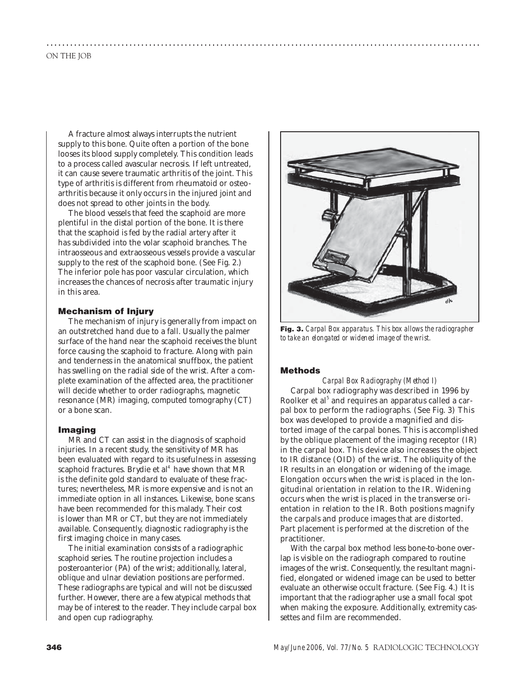A fracture almost always interrupts the nutrient supply to this bone. Quite often a portion of the bone looses its blood supply completely. This condition leads to a process called avascular necrosis. If left untreated, it can cause severe traumatic arthritis of the joint. This type of arthritis is different from rheumatoid or osteoarthritis because it only occurs in the injured joint and does not spread to other joints in the body.

The blood vessels that feed the scaphoid are more plentiful in the distal portion of the bone. It is there that the scaphoid is fed by the radial artery after it has subdivided into the volar scaphoid branches. The intraosseous and extraosseous vessels provide a vascular supply to the rest of the scaphoid bone. (See Fig. 2.) The inferior pole has poor vascular circulation, which increases the chances of necrosis after traumatic injury in this area.

# **Mechanism of Injury**

The mechanism of injury is generally from impact on an outstretched hand due to a fall. Usually the palmer surface of the hand near the scaphoid receives the blunt force causing the scaphoid to fracture. Along with pain and tenderness in the anatomical snuffbox, the patient has swelling on the radial side of the wrist. After a complete examination of the affected area, the practitioner will decide whether to order radiographs, magnetic resonance (MR) imaging, computed tomography (CT) or a bone scan.

### **Imaging**

MR and CT can assist in the diagnosis of scaphoid injuries. In a recent study, the sensitivity of MR has been evaluated with regard to its usefulness in assessing scaphoid fractures. Brydie et al<sup>4</sup> have shown that MR is the definite gold standard to evaluate of these fractures; nevertheless, MR is more expensive and is not an immediate option in all instances. Likewise, bone scans have been recommended for this malady. Their cost is lower than MR or CT, but they are not immediately available. Consequently, diagnostic radiography is the first imaging choice in many cases.

The initial examination consists of a radiographic scaphoid series. The routine projection includes a posteroanterior (PA) of the wrist; additionally, lateral, oblique and ulnar deviation positions are performed. These radiographs are typical and will not be discussed further. However, there are a few atypical methods that may be of interest to the reader. They include carpal box and open cup radiography.



**Fig. 3.** *Carpal Box apparatus. This box allows the radiographer to take an elongated or widened image of the wrist.* 

## **Methods**

..............................................................................................................

*Carpal Box Radiography (Method I)* Carpal box radiography was described in 1996 by Roolker et al $^{\rm 5}$  and requires an apparatus called a carpal box to perform the radiographs. (See Fig. 3) This box was developed to provide a magnified and distorted image of the carpal bones. This is accomplished by the oblique placement of the imaging receptor (IR) in the carpal box. This device also increases the object to IR distance (OID) of the wrist. The obliquity of the IR results in an elongation or widening of the image. Elongation occurs when the wrist is placed in the longitudinal orientation in relation to the IR. Widening occurs when the wrist is placed in the transverse orientation in relation to the IR. Both positions magnify the carpals and produce images that are distorted. Part placement is performed at the discretion of the practitioner.

With the carpal box method less bone-to-bone overlap is visible on the radiograph compared to routine images of the wrist. Consequently, the resultant magnified, elongated or widened image can be used to better evaluate an otherwise occult fracture. (See Fig. 4.) It is important that the radiographer use a small focal spot when making the exposure. Additionally, extremity cassettes and film are recommended.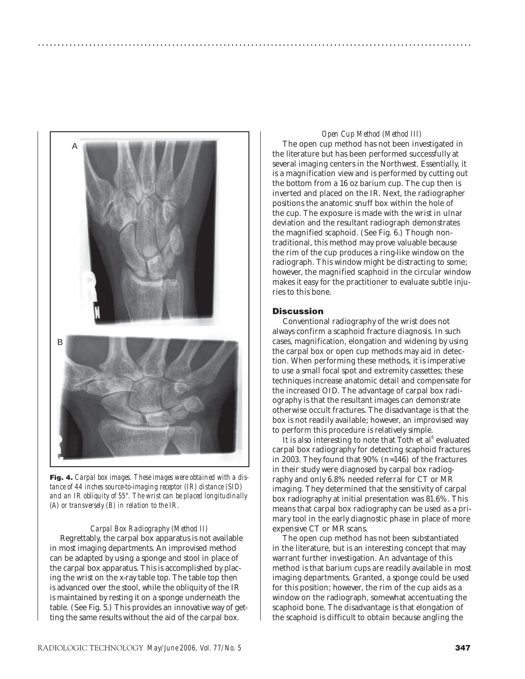

**Fig. 4.** *Carpal box images. These images were obtained with a distance of 44 inches source-to-imaging receptor (IR) distance (SID) and an IR obliquity of 55°. The wrist can be placed longitudinally (A) or transversely (B) in relation to the IR.*

#### *Carpal Box Radiography (Method II)*

Regrettably, the carpal box apparatus is not available in most imaging departments. An improvised method can be adapted by using a sponge and stool in place of the carpal box apparatus. This is accomplished by placing the wrist on the x-ray table top. The table top then is advanced over the stool, while the obliquity of the IR is maintained by resting it on a sponge underneath the table. (See Fig. 5.) This provides an innovative way of getting the same results without the aid of the carpal box.

#### *Open Cup Method (Method III)*

The open cup method has not been investigated in the literature but has been performed successfully at several imaging centers in the Northwest. Essentially, it is a magnification view and is performed by cutting out the bottom from a 16 oz barium cup. The cup then is inverted and placed on the IR. Next, the radiographer positions the anatomic snuff box within the hole of the cup. The exposure is made with the wrist in ulnar deviation and the resultant radiograph demonstrates the magnified scaphoid. (See Fig. 6.) Though nontraditional, this method may prove valuable because the rim of the cup produces a ring-like window on the radiograph. This window might be distracting to some; however, the magnified scaphoid in the circular window makes it easy for the practitioner to evaluate subtle injuries to this bone.

# **Discussion**

..............................................................................................................

Conventional radiography of the wrist does not always confirm a scaphoid fracture diagnosis. In such cases, magnification, elongation and widening by using the carpal box or open cup methods may aid in detection. When performing these methods, it is imperative to use a small focal spot and extremity cassettes; these techniques increase anatomic detail and compensate for the increased OID. The advantage of carpal box radiography is that the resultant images can demonstrate otherwise occult fractures. The disadvantage is that the box is not readily available; however, an improvised way to perform this procedure is relatively simple.

It is also interesting to note that Toth et al<sup>6</sup> evaluated carpal box radiography for detecting scaphoid fractures in 2003. They found that 90% (n=146) of the fractures in their study were diagnosed by carpal box radiography and only 6.8% needed referral for CT or MR imaging. They determined that the sensitivity of carpal box radiography at initial presentation was 81.6%. This means that carpal box radiography can be used as a primary tool in the early diagnostic phase in place of more expensive CT or MR scans.

The open cup method has not been substantiated in the literature, but is an interesting concept that may warrant further investigation. An advantage of this method is that barium cups are readily available in most imaging departments. Granted, a sponge could be used for this position; however, the rim of the cup aids as a window on the radiograph, somewhat accentuating the scaphoid bone. The disadvantage is that elongation of the scaphoid is difficult to obtain because angling the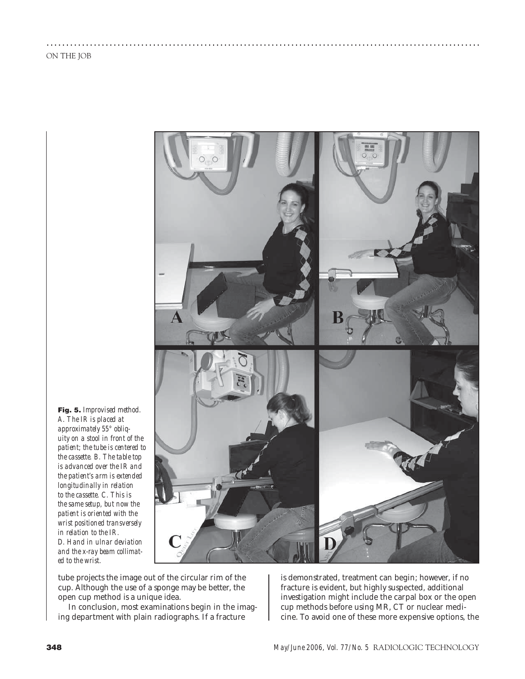

..............................................................................................................

**Fig. 5.** *Improvised method. A. The IR is placed at approximately 55° obliquity on a stool in front of the patient; the tube is centered to the cassette. B. The table top is advanced over the IR and the patient's arm is extended longitudinally in relation to the cassette. C. This is the same setup, but now the patient is oriented with the wrist positioned transversely in relation to the IR. D. Hand in ulnar deviation and the x-ray beam collimated to the wrist.*

tube projects the image out of the circular rim of the cup. Although the use of a sponge may be better, the open cup method is a unique idea.

In conclusion, most examinations begin in the imaging department with plain radiographs. If a fracture

is demonstrated, treatment can begin; however, if no fracture is evident, but highly suspected, additional investigation might include the carpal box or the open cup methods before using MR, CT or nuclear medicine. To avoid one of these more expensive options, the